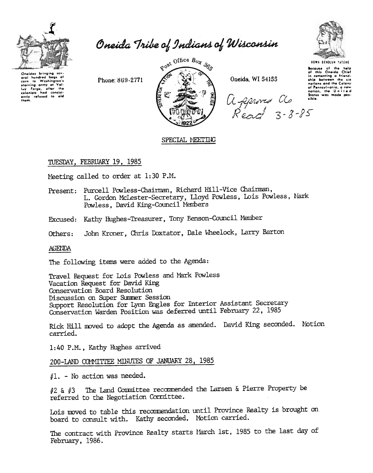

Oneida Tribe of Indians of Wisconsin

Oneidas bringing sov-<br>erai hundred bags of aral hundred bags of<br>corn to Washington's<br>starving army of Vali-<br>luy Forge, after the<br>colonists had consist-<br>ently refused to ald<br>them.

Phone: 869-2771



Oneida. WI 54155

**UGWA DENOLUN YATENE** 

Secause of the help<br>of this Oneida Chief<br>in cementing a friendshin hotween the six nations and the Colony of Pennsylvania, a new<br>nation, the United<br>States was made posagent as the sible.

# SPECIAL MEETING

# TUESDAY, FEBRUARY 19, 1985

Meeting called to order at 1:30 P.M.

- Present: Purcell Powless-Chairman, Richard Hill-Vice Chairman, L. Gordon McLester-Secretary, Lloyd Powless, Lois Powless, Mark Powless, David King-Council Members
- Excused: Kathy Hughes-Treasurer, Tony Benson-Council Member

John Kroner, Chris Doxtator, Dale Wheelock, Larry Barton Others:

### **AGETIDA**

The following items were added to the Agenda:

Travel Request for Lois Powless and Mark Powless Vacation Request for David King Conservation Board Resolution Discussion on Super Summer Session Support Resolution for Lynn Engles for Interior Assistant Secretary Conservation Warden Position was deferred until February 22, 1985

Rick Hill moved to adopt the Agenda as amended. David King seconded. Notion carried.

1:40 P.M., Kathy Hughes arrived

200-LAND COMMITTEE MINUTES OF JANUARY 28, 1985

#1. - No action was needed.

The Land Committee recommended the Larsen & Pierre Property be #2 & #3 referred to the Negotiation Cormittee.

Lois moved to table this recommendation until Province Realty is brought on board to consult with. Kathy seconded. Motion carried.

The contract with Province Realty starts March 1st, 1985 to the last day of February, 1986.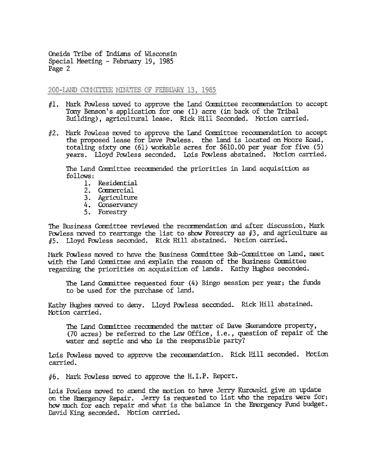200-LAND COMMITTEE MINUTES OF FEBRUARY 13, 1985

- $#1$ . Mark Powless noved to approve the Land Committee recommendation to accept Tony Benson's application for one (1) acre (in back of the Tribal Building), agricultural lease. Rick Hill Seconded. Motion carried.
- #2. Mark Powless moved to approve the Land Committee recommendation to accept the proposed lease for Dave Powless. the land is located on Moore Road, totaling sixty one (61) workable acres for \$610.00 per year for five (5) years. Lloyd Powless seconded. Lois Powless abstained. Mbtion carried.

The Land Committee recommended the priorities in land acquisition as  $f_0$ llows:

- 1. Residential
- 2. Commercial
- 3. Agriculture
- 4. Conservancy
- 5. Forestry

The Business Conmittee reviewed the reconnendation and after discussion, Mark Powless moved to rearrange the list to show Forestry as  $#3$ , and agriculture as #5. Lloyd Powless seconded. Rick Hill abstained. Notion carried.

Nark Powless moved to have the Business Committee Sub-Conmittee on Land, meet with the Land Committee and explain the reason of the Business Committee regarding the priorities on acquisition of lands. Kathy Hughes seconded.

The Land Committee requested four (4) Bingo session per year; the funds to be used for the purchase of land.

Kathy Hughes moved to deny. Lloyd Powless seconded. Rick Hill abstained. Motion carried.

The Land Committee recommended the matter of Dave Skenandore property,  $(70 \text{ acres})$  be referred to the Law Office, i.e., question of repair of the water and septic and who is the responsible party?

Lois Powless moved to approve the recommendation. Rick Hill seconded. Motion carried.

#6. Mark Powless moved to approve the H.I.P. Report.

Lois Powless moved to amend the motion to have Jerry Kurowski give an update on the Emergency Repair. Jerry is requested to list who the repairs were for; how much for each repair and what is the balance in the Emergency Fund budget. David King seconded. Motion carried.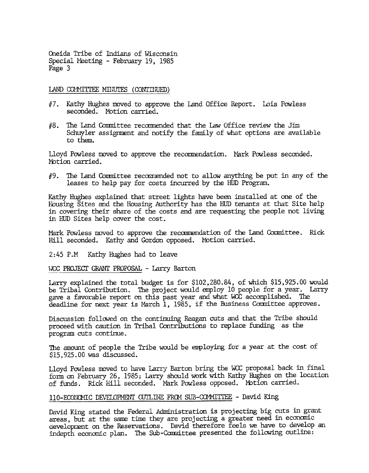IAND COMMITTEE MINUTES (CONTINUED)

- $#7$ . Kathy Hughes moved to approve the Land Office Report. Lois Powless seconded. Motion carried.
- $#8$ . The Land Committee recommended that the Law Office review the Jim Schuyler assignment and notify the family of what options are available to them.

Lloyd Powless moved to approve the recommendation. Mark Powless seconded Motion carried.

The Land Comnittee recam:ended not to allow anything be put in any of the leases to help pay for costs incurred by the HUD Program. 119.

Kathy Hughes explained that street lights have been installed at one of the Housing Sites and the Housing Authority has the HUD tenants at that Site help in covering their share of the costs and are requesting the people not living in hW Sites help cover the cost.

Mark Powless moved to approve the recommendation of the Land Counittee. Rick Hill seconded. Kathy and Gordon opposed. Motion carried.

2:45 P.M Kathy Hughes had to leave

WCC PROJECT GRANT PROPOSAL. - Larry Barton

Larry explained the total budget is for \$102,280.84, of which \$15,925.00 would be Tribal Contribution. The project would employ 10 people for a year. Larry gave a favorable report on this past year and what WCC accomplished. The deadline for next year is March 1, 1985, if the Business Committee approves.

Discussion followed on the continuing Reagan cuts and that the Tribe should proceed with caution in Tribal Contributions to replace funding as the program cuts continue.

The amount of people the Tribe would be employing for a year at the cost of \$15,925.00 was discussed.

Lloyd Powless moved to have Larry Barton bring the WCC proposal back in final form on February 26, 1985; Larry should work with Kathy Hughes on the location of funds. Rick Hill seconded. Mark Powless opposed. Mbtion carried.

#### 110-ECONOMIC DEVELOPMENT OUTLINE FROM SUB-COMMITTEE - David King

David King stated the Federal Administration is projecting big cuts in grant areas, but at the same time they are projectipg a greater need in economic development on the Reservations. David therefore feels we have to develop an indepth economic plan. The Sub-Committee presented the following outline: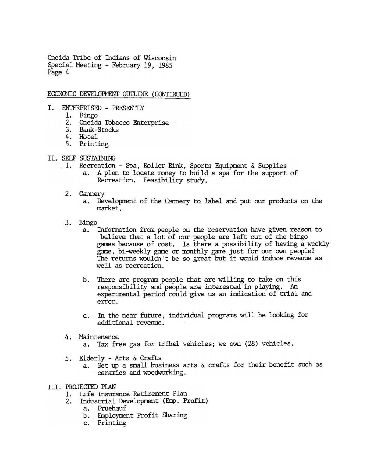ECONOMIC DEVELOPMENT OUTLINE (CONTINUED)

- I. ENTERPRISED PRESENTLY
	- 1. Bingo
	- 2. Oneida Tobacco Enterprise
	- 3. Bank-Stocks
	- 4. Hotel
	- 5. Printing
- II. SELF SUSTAINING
	- 1. Recreation Spa, Roller Rink, Sports Equipment & Supplies
		- A plan to locate money to build a spa for the support of a. Recreation. Feasibility study.
		- 2. Cannery
			- a. Development of the Cannery to label and put our products on the market.
		- 3. Bingo
			- Information from people on the reservation have given reason to  $a_{\bullet}$ believe that a lot of our people are left out of the bingo games because of cost. Is there a possibility of having a weekly game, bi-weekly game or monthly game just for our own people? The returns wouldn't be so great but it would induce revenue as well as recreation.
			- b. There are program people that are willing to take on this responsibility and people are interested in playing. An experimental period could give us an indication of trial and error.
			- In the near future, individual programs will be looking for  $c_{\bullet}$ additional revenue.
		- 4. Maintenance
			- a. Tax free gas for tribal vehicles; we own (28) vehicles.
		- 5. Elderly Arts & Crafts
			- a. Set up a small business arts & crafts for their benefit such as ceramics and woodworking.
- **III. PROJECTED PLAN** 
	- 1. Life Insurance Retirement Plan
	- 2. Industrial Development (Emp. Profit)
		- a. Fruehauf
			- b. Employment Profit Sharing
			- c. Printing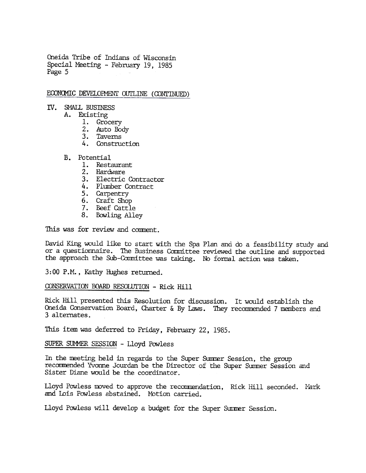## ECONOMIC DEVELOPMENT OUTLINE (CONTINUED)

- IV. SMALL BUSTNESS
	- A. Existing
		- 1. Grocery
		- 2. Auto Body
		- 3. Taverns
		- 4. Construction
	- B. Potential
		- 1. Restaurant
		- 2. Hardware
		- 3. Electric Contractor
		- 4. Plumber Contract
		- 5. Carpentry
		- 6. Craft Shop
		- 7. Beef Cattle
		- 8. Bowling Alley

This was for review and comment.

David King would like to start with the Spa Plan and do a feasibility study and or a questionnaire. The Business Committee reviewed the outline and supported the approach the Sub-Conmittee was taking. No formal action was taken.

3: 00 P.M., Kathy HUghes returned.

## CONSERVATION BOARD RESOLUTION - Rick Hill

Rick Hill presented this Resolution for discussion. It would establish the Oneida Conservation Board, Charter & By Laws. They recommended 7 members and 3 alternates.

This item was deferred to Friday, February 22, 1985.

SUPER SUMMER SESSION - Lloyd Powless

In the meeting held in regards to the Super Summer Session, the group recommended Yvonne Jourdan be the Director of the Super Summer Session and Sister Diane would be the coordinator.

Lloyd Powless moved to approve the recommendation, Rick Hill seconded. Mark and Lois Powless abstained. MOtion carried.

Lloyd Powless will develop a budget for the Super Summer Session.